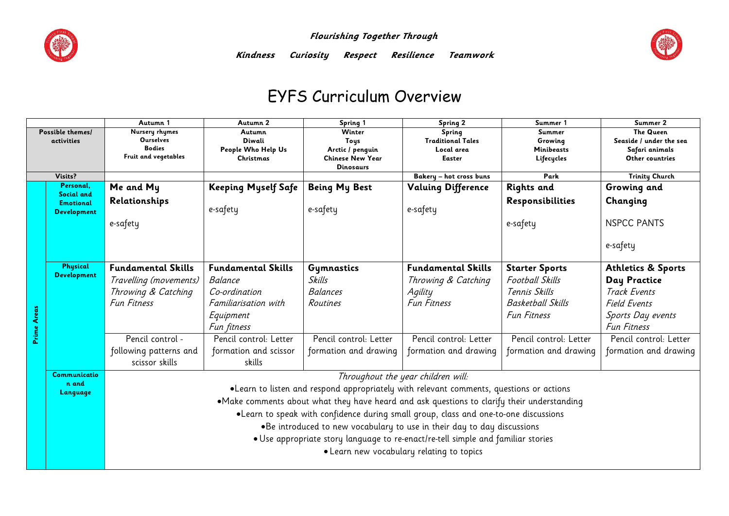

 **Flourishing Together Through** 



**Kindness Curiosity Respect Resilience Teamwork** 

## EYFS Curriculum Overview

|                                |                         | Autumn 1                                                                                   | Autumn 2                   | Spring 1                 | Spring 2                                  | Summer 1                 | Summer 2                                    |  |  |
|--------------------------------|-------------------------|--------------------------------------------------------------------------------------------|----------------------------|--------------------------|-------------------------------------------|--------------------------|---------------------------------------------|--|--|
| Possible themes/<br>activities |                         | Nursery rhymes<br><b>Ourselves</b>                                                         | Autumn<br>Diwali           | Winter                   | Spring<br><b>Traditional Tales</b>        | Summer<br>Growing        | <b>The Queen</b><br>Seaside / under the sea |  |  |
|                                |                         | <b>Bodies</b>                                                                              | People Who Help Us         | Toys<br>Arctic / penguin | Local area                                | <b>Minibeasts</b>        | Safari animals                              |  |  |
|                                |                         | Fruit and vegetables                                                                       | <b>Christmas</b>           | <b>Chinese New Year</b>  | <b>Easter</b>                             | Lifecycles               | Other countries                             |  |  |
|                                |                         |                                                                                            |                            | Dinosaurs                |                                           |                          |                                             |  |  |
| Visits?                        |                         |                                                                                            |                            |                          | Bakery - hot cross buns                   | Park                     | <b>Trinity Church</b>                       |  |  |
|                                | Personal,<br>Social and | Me and My                                                                                  | <b>Keeping Myself Safe</b> | <b>Being My Best</b>     | <b>Valuing Difference</b>                 | <b>Rights and</b>        | Growing and                                 |  |  |
|                                | <b>Emotional</b>        | Relationships                                                                              |                            |                          |                                           | Responsibilities         | Changing                                    |  |  |
|                                | <b>Development</b>      |                                                                                            | e-safety                   | e-safety                 | e-safety                                  |                          |                                             |  |  |
|                                |                         | e-safety                                                                                   |                            |                          |                                           | e-safety                 | <b>NSPCC PANTS</b>                          |  |  |
|                                |                         |                                                                                            |                            |                          |                                           |                          |                                             |  |  |
|                                |                         |                                                                                            |                            |                          |                                           |                          | e-safety                                    |  |  |
|                                |                         |                                                                                            |                            |                          |                                           |                          |                                             |  |  |
|                                | Physical                | <b>Fundamental Skills</b>                                                                  | <b>Fundamental Skills</b>  | Gymnastics               | <b>Fundamental Skills</b>                 | <b>Starter Sports</b>    | <b>Athletics &amp; Sports</b>               |  |  |
|                                | <b>Development</b>      | Travelling (movements)                                                                     | Balance                    | Skills                   | Throwing & Catching                       | <b>Football Skills</b>   | Day Practice                                |  |  |
|                                |                         | Throwing & Catching                                                                        | Co-ordination              | <b>Balances</b>          | Agility                                   | Tennis Skills            | Track Events                                |  |  |
|                                |                         | <b>Fun Fitness</b>                                                                         | Familiarisation with       | Routines                 | <b>Fun Fitness</b>                        | <b>Basketball Skills</b> | <b>Field Events</b>                         |  |  |
|                                |                         |                                                                                            | Equipment                  |                          |                                           | <b>Fun Fitness</b>       | Sports Day events                           |  |  |
|                                |                         |                                                                                            | Fun fitness                |                          |                                           |                          | Fun Fitness                                 |  |  |
| Prime Areas                    |                         |                                                                                            |                            |                          |                                           |                          |                                             |  |  |
|                                |                         | Pencil control -                                                                           | Pencil control: Letter     | Pencil control: Letter   | Pencil control: Letter                    | Pencil control: Letter   | Pencil control: Letter                      |  |  |
|                                |                         | following patterns and                                                                     | formation and scissor      | formation and drawing    | formation and drawing                     | formation and drawing    | formation and drawing                       |  |  |
|                                |                         | scissor skills                                                                             | skills                     |                          |                                           |                          |                                             |  |  |
|                                | Communicatio            | Throughout the year children will:                                                         |                            |                          |                                           |                          |                                             |  |  |
|                                | n and<br>Language       | . Learn to listen and respond appropriately with relevant comments, questions or actions   |                            |                          |                                           |                          |                                             |  |  |
|                                |                         | •Make comments about what they have heard and ask questions to clarify their understanding |                            |                          |                                           |                          |                                             |  |  |
|                                |                         | . Learn to speak with confidence during small group, class and one-to-one discussions      |                            |                          |                                           |                          |                                             |  |  |
|                                |                         |                                                                                            |                            |                          |                                           |                          |                                             |  |  |
|                                |                         | . Be introduced to new vocabulary to use in their day to day discussions                   |                            |                          |                                           |                          |                                             |  |  |
|                                |                         | . Use appropriate story language to re-enact/re-tell simple and familiar stories           |                            |                          |                                           |                          |                                             |  |  |
|                                |                         |                                                                                            |                            |                          | • Learn new vocabulary relating to topics |                          |                                             |  |  |
|                                |                         |                                                                                            |                            |                          |                                           |                          |                                             |  |  |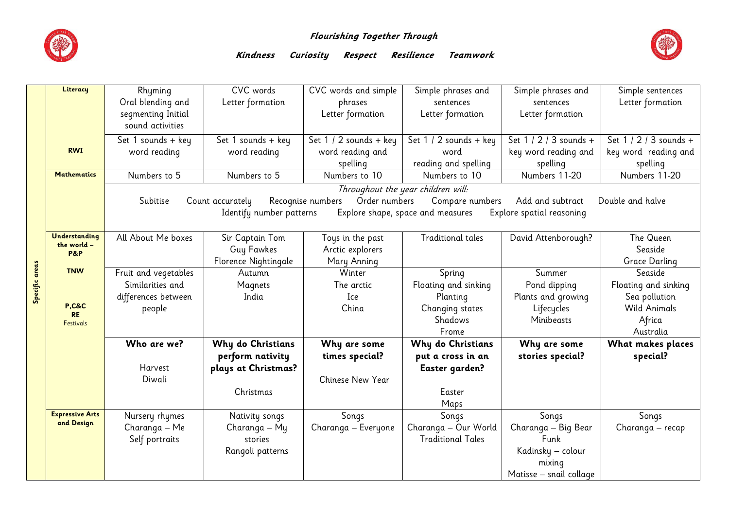

## **Flourishing Together Through**



## **Kindness Curiosity Respect Resilience Teamwork**

|                | Literacy                      | Rhyming                                                                                                                       | CVC words                          | CVC words and simple   | Simple phrases and       | Simple phrases and      | Simple sentences       |  |  |  |  |  |  |
|----------------|-------------------------------|-------------------------------------------------------------------------------------------------------------------------------|------------------------------------|------------------------|--------------------------|-------------------------|------------------------|--|--|--|--|--|--|
|                |                               | Oral blending and                                                                                                             | Letter formation                   | phrases                | sentences                | sentences               | Letter formation       |  |  |  |  |  |  |
|                |                               | segmenting Initial                                                                                                            |                                    | Letter formation       | Letter formation         | Letter formation        |                        |  |  |  |  |  |  |
|                |                               | sound activities                                                                                                              |                                    |                        |                          |                         |                        |  |  |  |  |  |  |
|                |                               | Set 1 sounds + key                                                                                                            | Set 1 sounds + key                 | Set $1/2$ sounds + key | Set 1 / 2 sounds + key   | Set 1 / 2 / 3 sounds +  | Set 1 / 2 / 3 sounds + |  |  |  |  |  |  |
|                | <b>RWI</b>                    | word reading                                                                                                                  | word reading                       | word reading and       | word                     | key word reading and    | key word reading and   |  |  |  |  |  |  |
|                |                               |                                                                                                                               |                                    | spelling               | reading and spelling     | spelling                | spelling               |  |  |  |  |  |  |
|                | <b>Mathematics</b>            | Numbers to 5                                                                                                                  | Numbers to 5                       | Numbers to 10          | Numbers to 10            | Numbers 11-20           | Numbers 11-20          |  |  |  |  |  |  |
|                |                               |                                                                                                                               | Throughout the year children will: |                        |                          |                         |                        |  |  |  |  |  |  |
|                |                               | Order numbers<br>Add and subtract<br>Subitise<br>Recognise numbers<br>Compare numbers<br>Double and halve<br>Count accurately |                                    |                        |                          |                         |                        |  |  |  |  |  |  |
|                |                               | Identify number patterns<br>Explore spatial reasoning<br>Explore shape, space and measures                                    |                                    |                        |                          |                         |                        |  |  |  |  |  |  |
|                |                               |                                                                                                                               |                                    |                        |                          |                         |                        |  |  |  |  |  |  |
|                | Understanding                 | All About Me boxes                                                                                                            | Sir Captain Tom                    | Toys in the past       | <b>Traditional tales</b> | David Attenborough?     | The Queen              |  |  |  |  |  |  |
|                | the world -<br><b>P&amp;P</b> |                                                                                                                               | Guy Fawkes                         | Arctic explorers       |                          |                         | Seaside                |  |  |  |  |  |  |
|                |                               |                                                                                                                               | Florence Nightingale               | Mary Anning            |                          |                         | Grace Darling          |  |  |  |  |  |  |
|                | <b>TNW</b>                    | Fruit and vegetables                                                                                                          | Autumn                             | Winter                 | Spring                   | Summer                  | Seaside                |  |  |  |  |  |  |
| Specific areas |                               | Similarities and                                                                                                              | Magnets                            | The arctic             | Floating and sinking     | Pond dipping            | Floating and sinking   |  |  |  |  |  |  |
|                |                               | differences between                                                                                                           | India                              | Ice                    | Planting                 | Plants and growing      | Sea pollution          |  |  |  |  |  |  |
|                | <b>P,C&amp;C</b>              | people                                                                                                                        |                                    | China                  | Changing states          | Lifecycles              | <b>Wild Animals</b>    |  |  |  |  |  |  |
|                | <b>RE</b><br><b>Festivals</b> |                                                                                                                               |                                    |                        | Shadows                  | Minibeasts              | Africa                 |  |  |  |  |  |  |
|                |                               |                                                                                                                               |                                    |                        | Frome                    |                         | Australia              |  |  |  |  |  |  |
|                |                               | Who are we?                                                                                                                   | Why do Christians                  | Why are some           | Why do Christians        | Why are some            | What makes places      |  |  |  |  |  |  |
|                |                               |                                                                                                                               | perform nativity                   | times special?         | put a cross in an        | stories special?        | special?               |  |  |  |  |  |  |
|                |                               | Harvest                                                                                                                       | plays at Christmas?                |                        | Easter garden?           |                         |                        |  |  |  |  |  |  |
|                |                               | Diwali                                                                                                                        |                                    | Chinese New Year       |                          |                         |                        |  |  |  |  |  |  |
|                |                               |                                                                                                                               | Christmas                          |                        | Easter                   |                         |                        |  |  |  |  |  |  |
|                |                               |                                                                                                                               |                                    |                        | Maps                     |                         |                        |  |  |  |  |  |  |
|                | <b>Expressive Arts</b>        | Nursery rhymes                                                                                                                | Nativity songs                     | Songs                  | Songs                    | Songs                   | Songs                  |  |  |  |  |  |  |
|                | and Design                    | Charanga - Me                                                                                                                 | Charanga - My                      | Charanga - Everyone    | Charanga - Our World     | Charanga - Big Bear     | Charanga - recap       |  |  |  |  |  |  |
|                |                               | Self portraits                                                                                                                | stories                            |                        | <b>Traditional Tales</b> | Funk                    |                        |  |  |  |  |  |  |
|                |                               |                                                                                                                               | Rangoli patterns                   |                        |                          | Kadinsky - colour       |                        |  |  |  |  |  |  |
|                |                               |                                                                                                                               |                                    |                        |                          | mixing                  |                        |  |  |  |  |  |  |
|                |                               |                                                                                                                               |                                    |                        |                          | Matisse – snail collage |                        |  |  |  |  |  |  |